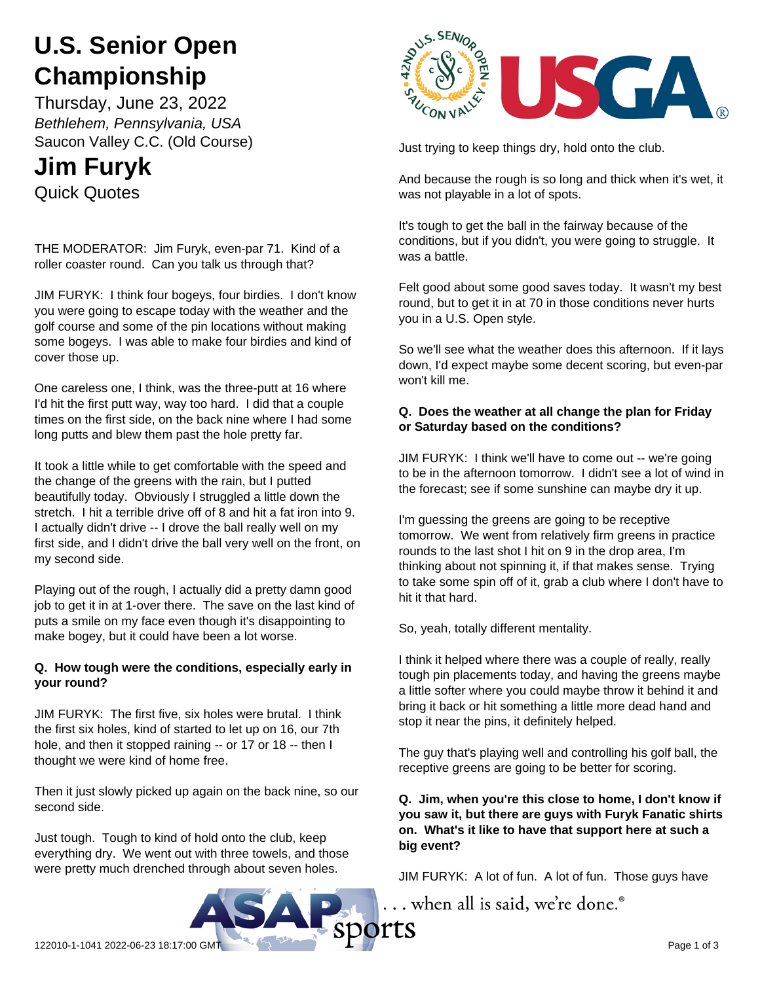# **U.S. Senior Open Championship**

Thursday, June 23, 2022 *Bethlehem, Pennsylvania, USA* Saucon Valley C.C. (Old Course)

## **Jim Furyk**

Quick Quotes

THE MODERATOR: Jim Furyk, even-par 71. Kind of a roller coaster round. Can you talk us through that?

JIM FURYK: I think four bogeys, four birdies. I don't know you were going to escape today with the weather and the golf course and some of the pin locations without making some bogeys. I was able to make four birdies and kind of cover those up.

One careless one, I think, was the three-putt at 16 where I'd hit the first putt way, way too hard. I did that a couple times on the first side, on the back nine where I had some long putts and blew them past the hole pretty far.

It took a little while to get comfortable with the speed and the change of the greens with the rain, but I putted beautifully today. Obviously I struggled a little down the stretch. I hit a terrible drive off of 8 and hit a fat iron into 9. I actually didn't drive -- I drove the ball really well on my first side, and I didn't drive the ball very well on the front, on my second side.

Playing out of the rough, I actually did a pretty damn good job to get it in at 1-over there. The save on the last kind of puts a smile on my face even though it's disappointing to make bogey, but it could have been a lot worse.

## **Q. How tough were the conditions, especially early in your round?**

JIM FURYK: The first five, six holes were brutal. I think the first six holes, kind of started to let up on 16, our 7th hole, and then it stopped raining -- or 17 or 18 -- then I thought we were kind of home free.

Then it just slowly picked up again on the back nine, so our second side.

Just tough. Tough to kind of hold onto the club, keep everything dry. We went out with three towels, and those were pretty much drenched through about seven holes.



Just trying to keep things dry, hold onto the club.

And because the rough is so long and thick when it's wet, it was not playable in a lot of spots.

It's tough to get the ball in the fairway because of the conditions, but if you didn't, you were going to struggle. It was a battle.

Felt good about some good saves today. It wasn't my best round, but to get it in at 70 in those conditions never hurts you in a U.S. Open style.

So we'll see what the weather does this afternoon. If it lays down, I'd expect maybe some decent scoring, but even-par won't kill me.

## **Q. Does the weather at all change the plan for Friday or Saturday based on the conditions?**

JIM FURYK: I think we'll have to come out -- we're going to be in the afternoon tomorrow. I didn't see a lot of wind in the forecast; see if some sunshine can maybe dry it up.

I'm guessing the greens are going to be receptive tomorrow. We went from relatively firm greens in practice rounds to the last shot I hit on 9 in the drop area, I'm thinking about not spinning it, if that makes sense. Trying to take some spin off of it, grab a club where I don't have to hit it that hard.

So, yeah, totally different mentality.

I think it helped where there was a couple of really, really tough pin placements today, and having the greens maybe a little softer where you could maybe throw it behind it and bring it back or hit something a little more dead hand and stop it near the pins, it definitely helped.

The guy that's playing well and controlling his golf ball, the receptive greens are going to be better for scoring.

## **Q. Jim, when you're this close to home, I don't know if you saw it, but there are guys with Furyk Fanatic shirts on. What's it like to have that support here at such a big event?**

JIM FURYK: A lot of fun. A lot of fun. Those guys have

... when all is said, we're done.<sup>®</sup>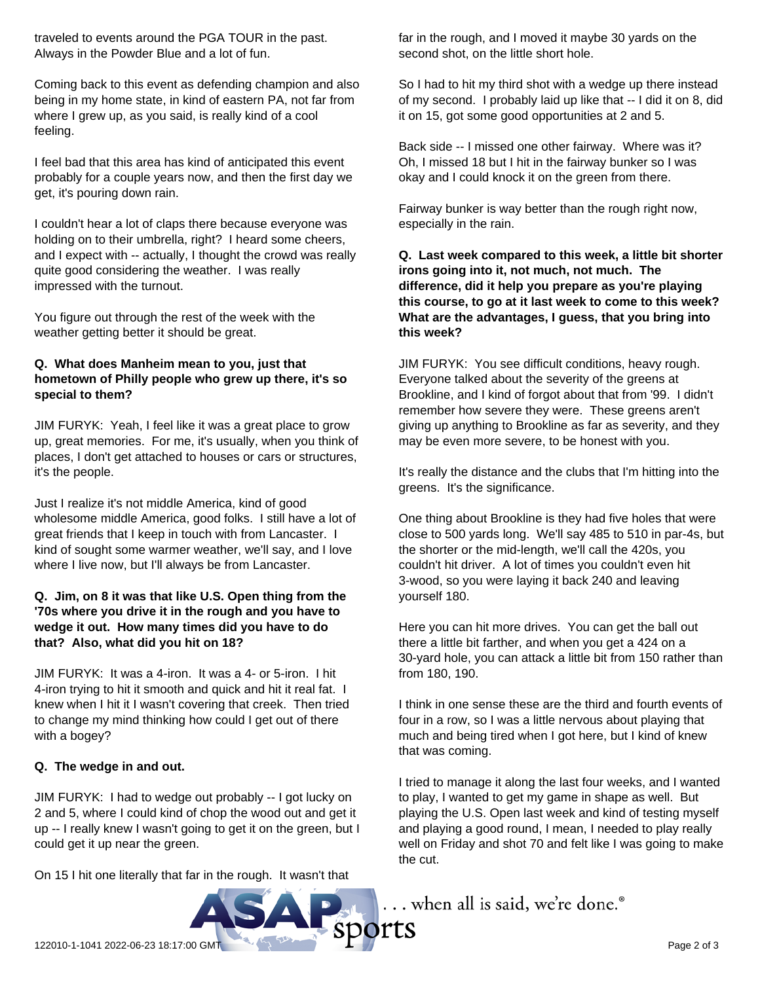traveled to events around the PGA TOUR in the past. Always in the Powder Blue and a lot of fun.

Coming back to this event as defending champion and also being in my home state, in kind of eastern PA, not far from where I grew up, as you said, is really kind of a cool feeling.

I feel bad that this area has kind of anticipated this event probably for a couple years now, and then the first day we get, it's pouring down rain.

I couldn't hear a lot of claps there because everyone was holding on to their umbrella, right? I heard some cheers, and I expect with -- actually, I thought the crowd was really quite good considering the weather. I was really impressed with the turnout.

You figure out through the rest of the week with the weather getting better it should be great.

#### **Q. What does Manheim mean to you, just that hometown of Philly people who grew up there, it's so special to them?**

JIM FURYK: Yeah, I feel like it was a great place to grow up, great memories. For me, it's usually, when you think of places, I don't get attached to houses or cars or structures, it's the people.

Just I realize it's not middle America, kind of good wholesome middle America, good folks. I still have a lot of great friends that I keep in touch with from Lancaster. I kind of sought some warmer weather, we'll say, and I love where I live now, but I'll always be from Lancaster.

### **Q. Jim, on 8 it was that like U.S. Open thing from the '70s where you drive it in the rough and you have to wedge it out. How many times did you have to do that? Also, what did you hit on 18?**

JIM FURYK: It was a 4-iron. It was a 4- or 5-iron. I hit 4-iron trying to hit it smooth and quick and hit it real fat. I knew when I hit it I wasn't covering that creek. Then tried to change my mind thinking how could I get out of there with a bogey?

#### **Q. The wedge in and out.**

JIM FURYK: I had to wedge out probably -- I got lucky on 2 and 5, where I could kind of chop the wood out and get it up -- I really knew I wasn't going to get it on the green, but I could get it up near the green.

On 15 I hit one literally that far in the rough. It wasn't that

far in the rough, and I moved it maybe 30 yards on the second shot, on the little short hole.

So I had to hit my third shot with a wedge up there instead of my second. I probably laid up like that -- I did it on 8, did it on 15, got some good opportunities at 2 and 5.

Back side -- I missed one other fairway. Where was it? Oh, I missed 18 but I hit in the fairway bunker so I was okay and I could knock it on the green from there.

Fairway bunker is way better than the rough right now, especially in the rain.

#### **Q. Last week compared to this week, a little bit shorter irons going into it, not much, not much. The difference, did it help you prepare as you're playing this course, to go at it last week to come to this week? What are the advantages, I guess, that you bring into this week?**

JIM FURYK: You see difficult conditions, heavy rough. Everyone talked about the severity of the greens at Brookline, and I kind of forgot about that from '99. I didn't remember how severe they were. These greens aren't giving up anything to Brookline as far as severity, and they may be even more severe, to be honest with you.

It's really the distance and the clubs that I'm hitting into the greens. It's the significance.

One thing about Brookline is they had five holes that were close to 500 yards long. We'll say 485 to 510 in par-4s, but the shorter or the mid-length, we'll call the 420s, you couldn't hit driver. A lot of times you couldn't even hit 3-wood, so you were laying it back 240 and leaving yourself 180.

Here you can hit more drives. You can get the ball out there a little bit farther, and when you get a 424 on a 30-yard hole, you can attack a little bit from 150 rather than from 180, 190.

I think in one sense these are the third and fourth events of four in a row, so I was a little nervous about playing that much and being tired when I got here, but I kind of knew that was coming.

I tried to manage it along the last four weeks, and I wanted to play, I wanted to get my game in shape as well. But playing the U.S. Open last week and kind of testing myself and playing a good round, I mean, I needed to play really well on Friday and shot 70 and felt like I was going to make the cut.

... when all is said, we're done.®